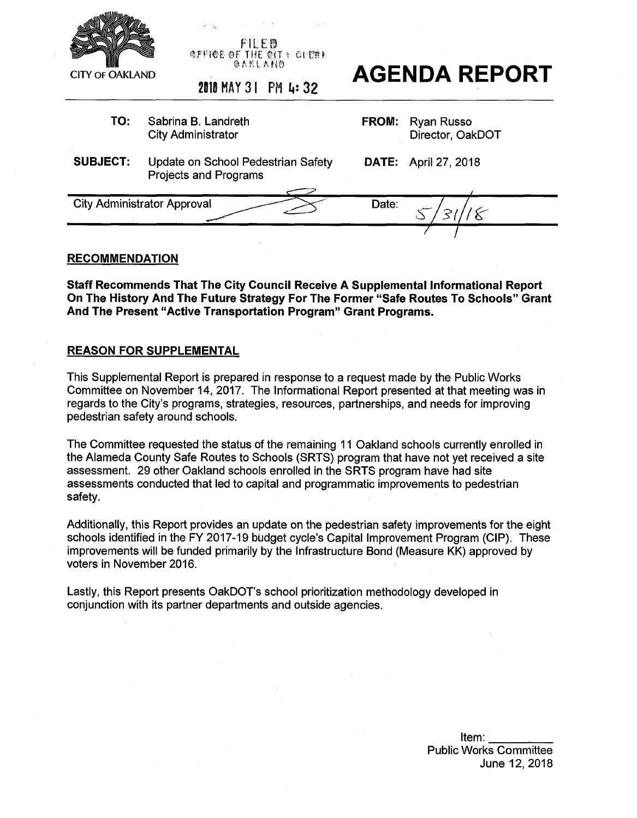

**FI l <sup>E</sup> B** »FW§ §F THE tifl-< CTEST @ A K L A HO



**TO:** Sabrina B. Landreth City Administrator **FROM:** Ryan Russo Director, OakDOT **SUBJECT:** Update on School Pedestrian Safety Projects and Programs **DATE:** April 27, 2018 *~2L* City Administrator Approval Date: **6 7 7**

# **RECOMMENDATION**

**Staff Recommends That The City Council Receive A Supplemental Informational Report On The History And The Future Strategy For The Former "Safe Routes To Schools" Grant And The Present "Active Transportation Program" Grant Programs.**

# **REASON FOR SUPPLEMENTAL**

This Supplemental Report is prepared in response to a request made by the Public Works Committee on November 14, 2017. The Informational Report presented at that meeting was in regards to the City's programs, strategies, resources, partnerships, and needs for improving pedestrian safety around schools.

The Committee requested the status of the remaining 11 Oakland schools currently enrolled in the Alameda County Safe Routes to Schools (SRTS) program that have not yet received a site assessment. 29 other Oakland schools enrolled in the SRTS program have had site assessments conducted that led to capital and programmatic improvements to pedestrian safety.

Additionally, this Report provides an update on the pedestrian safety improvements for the eight schools identified in the FY 2017-19 budget cycle's Capital Improvement Program (CIP). These improvements will be funded primarily by the Infrastructure Bond (Measure KK) approved by voters in November 2016.

Lastly, this Report presents OakDOT's school prioritization methodology developed in conjunction with its partner departments and outside agencies.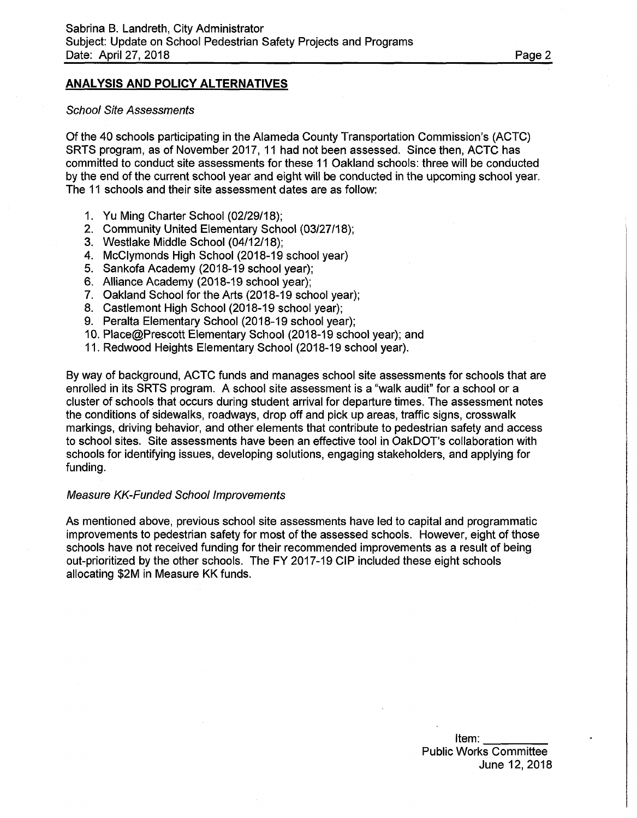# **ANALYSIS AND POLICY ALTERNATIVES**

#### *School Site Assessments*

Of the 40 schools participating in the Alameda County Transportation Commission's (ACTC) SRTS program, as of November 2017, 11 had not been assessed. Since then, ACTC has committed to conduct site assessments for these 11 Oakland schools: three will be conducted by the end of the current school year and eight will be conducted in the upcoming school year. The 11 schools and their site assessment dates are as follow:

- 1. Yu Ming Charter School (02/29/18);
- 2. Community United Elementary School (03/27/18);
- 3. Westlake Middle School (04/12/18);
- 4. McClymonds High School (2018-19 school year)
- 5. Sankofa Academy (2018-19 school year);
- 6. Alliance Academy (2018-19 school year);
- 7. Oakland School for the Arts (2018-19 school year);
- 8. Castlemont High School (2018-19 school year);
- 9. Peralta Elementary School (2018-19 school year);
- 10. Place@Prescott Elementary School (2018-19 school year); and
- 11. Redwood Heights Elementary School (2018-19 school year).

By way of background, ACTC funds and manages school site assessments for schools that are enrolled in its SRTS program. A school site assessment is a "walk audit" for a school or a cluster of schools that occurs during student arrival for departure times. The assessment notes the conditions of sidewalks, roadways, drop off and pick up areas, traffic signs, crosswalk markings, driving behavior, and other elements that contribute to pedestrian safety and access to school sites. Site assessments have been an effective tool in OakDOT's collaboration with schools for identifying issues, developing solutions, engaging stakeholders, and applying for funding.

#### *Measure KK-Funded School Improvements*

As mentioned above, previous school site assessments have led to capital and programmatic improvements to pedestrian safety for most of the assessed schools. However, eight of those schools have not received funding for their recommended improvements as a result of being out-prioritized by the other schools. The FY 2017-19 CIP included these eight schools allocating \$2M in Measure KK funds.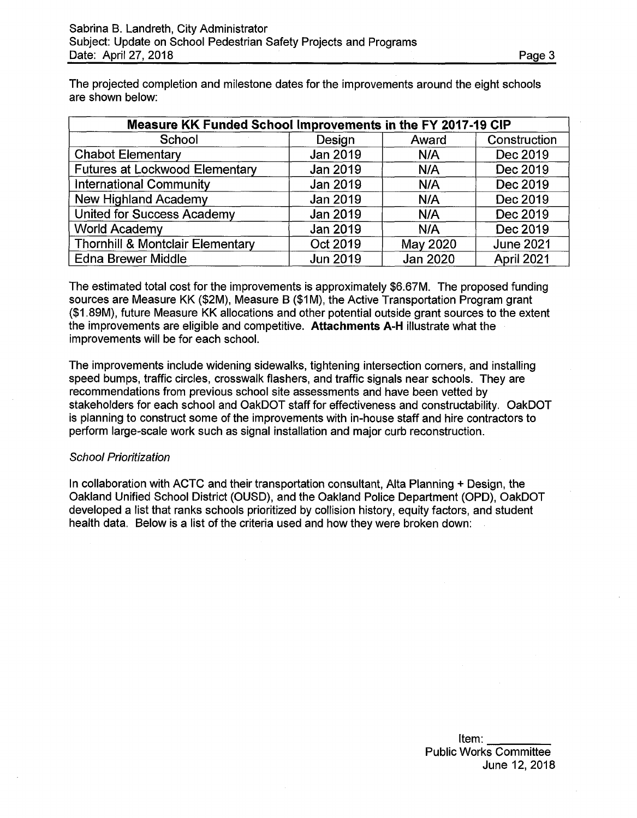The projected completion and milestone dates for the improvements around the eight schools are shown below:

| Measure KK Funded School Improvements in the FY 2017-19 CIP |                 |          |                  |  |  |
|-------------------------------------------------------------|-----------------|----------|------------------|--|--|
| School                                                      | Design          | Award    | Construction     |  |  |
| <b>Chabot Elementary</b>                                    | Jan 2019        | N/A      | Dec 2019         |  |  |
| <b>Futures at Lockwood Elementary</b>                       | Jan 2019        | N/A      | Dec 2019         |  |  |
| <b>International Community</b>                              | Jan 2019        | N/A      | Dec 2019         |  |  |
| <b>New Highland Academy</b>                                 | Jan 2019        | N/A      | Dec 2019         |  |  |
| <b>United for Success Academy</b>                           | Jan 2019        | N/A      | Dec 2019         |  |  |
| <b>World Academy</b>                                        | Jan 2019        | N/A      | Dec 2019         |  |  |
| <b>Thornhill &amp; Montclair Elementary</b>                 | Oct 2019        | May 2020 | <b>June 2021</b> |  |  |
| <b>Edna Brewer Middle</b>                                   | <b>Jun 2019</b> | Jan 2020 | April 2021       |  |  |

The estimated total cost for the improvements is approximately \$6.67M. The proposed funding sources are Measure KK (\$2M), Measure B (\$1M), the Active Transportation Program grant (\$1.89M), future Measure KK allocations and other potential outside grant sources to the extent the improvements are eligible and competitive. **Attachments A-H** illustrate what the improvements will be for each school.

The improvements include widening sidewalks, tightening intersection corners, and installing speed bumps, traffic circles, crosswalk flashers, and traffic signals near schools. They are recommendations from previous school site assessments and have been vetted by stakeholders for each school and OakDOT staff for effectiveness and constructability. OakDOT is planning to construct some of the improvements with in-house staff and hire contractors to perform large-scale work such as signal installation and major curb reconstruction.

# *School Prioritization*

In collaboration with ACTC and their transportation consultant, Alta Planning + Design, the Oakland Unified School District (OUSD), and the Oakland Police Department (OPD), OakDOT developed a list that ranks schools prioritized by collision history, equity factors, and student health data. Below is a list of the criteria used and how they were broken down: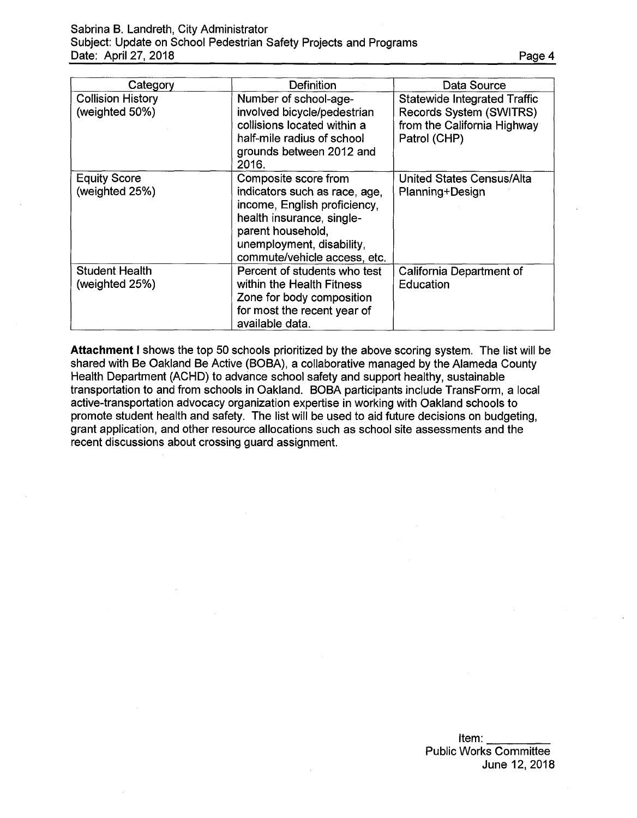Sabrina B. Landreth, City Administrator Subject: Update on School Pedestrian Safety Projects and Programs Date: April 27, 2018

| Category                                   | Definition                                                                                                                                                                                           | Data Source                                                                                                   |
|--------------------------------------------|------------------------------------------------------------------------------------------------------------------------------------------------------------------------------------------------------|---------------------------------------------------------------------------------------------------------------|
| <b>Collision History</b><br>(weighted 50%) | Number of school-age-<br>involved bicycle/pedestrian<br>collisions located within a<br>half-mile radius of school<br>grounds between 2012 and<br>2016.                                               | <b>Statewide Integrated Traffic</b><br>Records System (SWITRS)<br>from the California Highway<br>Patrol (CHP) |
| <b>Equity Score</b><br>(weighted 25%)      | Composite score from<br>indicators such as race, age,<br>income, English proficiency,<br>health insurance, single-<br>parent household,<br>unemployment, disability,<br>commute/vehicle access, etc. | United States Census/Alta<br>Planning+Design                                                                  |
| <b>Student Health</b><br>(weighted 25%)    | Percent of students who test<br>within the Health Fitness<br>Zone for body composition<br>for most the recent year of<br>available data.                                                             | California Department of<br>Education                                                                         |

**Attachment <sup>I</sup>** shows the top 50 schools prioritized by the above scoring system. The list will be shared with Be Oakland Be Active (BOBA), a collaborative managed by the Alameda County Health Department (ACHD) to advance school safety and support healthy, sustainable transportation to and from schools in Oakland. BOBA participants include TransForm, a local active-transportation advocacy organization expertise in working with Oakland schools to promote student health and safety. The list will be used to aid future decisions on budgeting, grant application, and other resource allocations such as school site assessments and the recent discussions about crossing guard assignment.

> Item:  $\overline{\phantom{a}}$ Public Works Committee June 12, 2018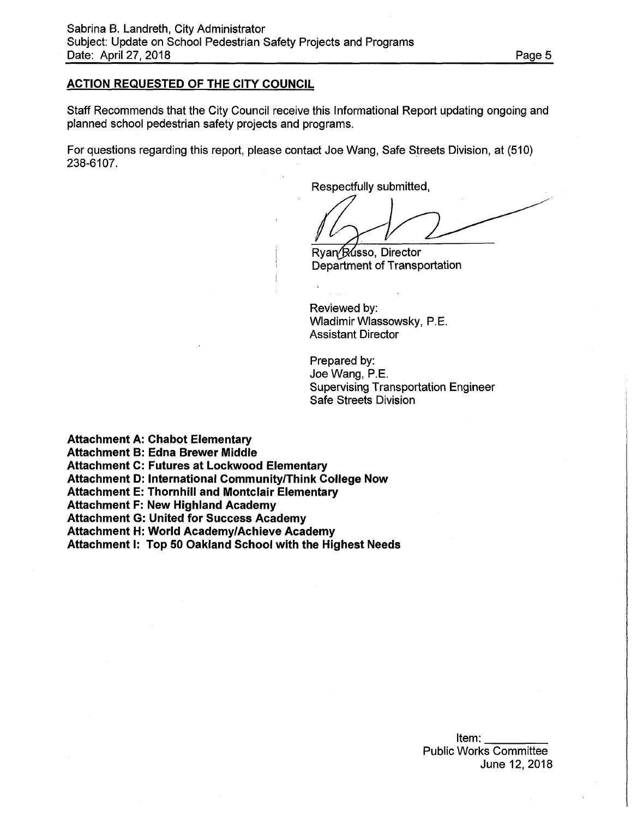### **ACTION REQUESTED OF THE CITY COUNCIL**

Staff Recommends that the City Council receive this Informational Report updating ongoing and planned school pedestrian safety projects and programs.

For questions regarding this report, please contact Joe Wang, Safe Streets Division, at (510) 238-6107.

Respectfully submitted,

Ryan *Russo*, Director Department of Transportation

Reviewed by: Wladimir Wlassowsky, P.E. Assistant Director

Prepared by: Joe Wang, P.E. Supervising Transportation Engineer Safe Streets Division

**Attachment A: Chabot Elementary**

**Attachment B: Edna Brewer Middle**

**Attachment C: Futures at Lockwood Elementary**

**Attachment D: International Community/Think College Now**

**Attachment E: Thornhill and Montclair Elementary**

**Attachment F: New Highland Academy**

**Attachment G: United for Success Academy**

**Attachment H: World Academy/Achieve Academy**

**Attachment I: Top 50 Oakland School with the Highest Needs**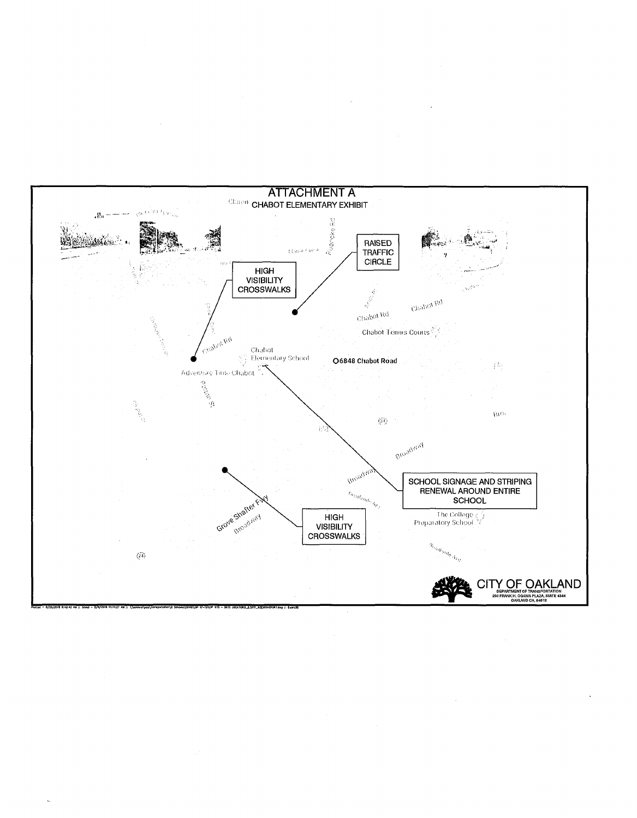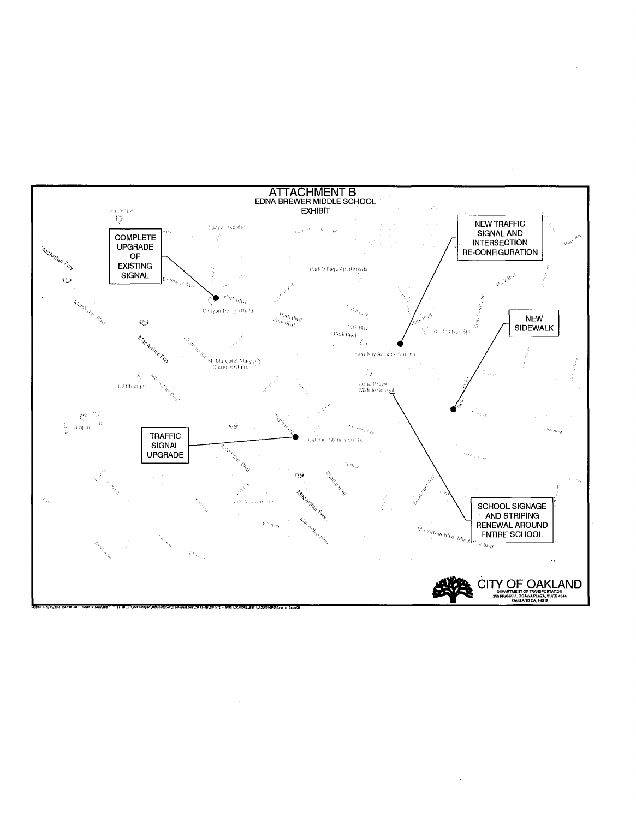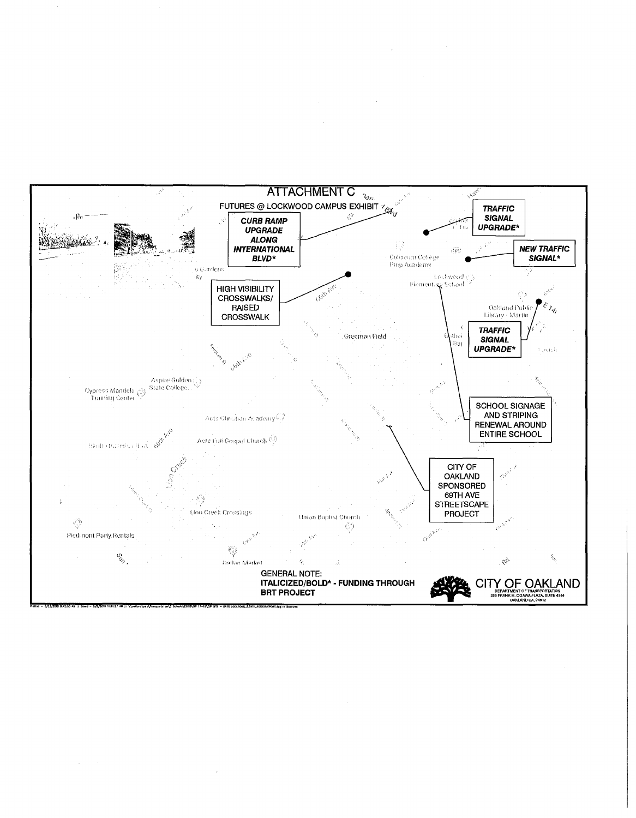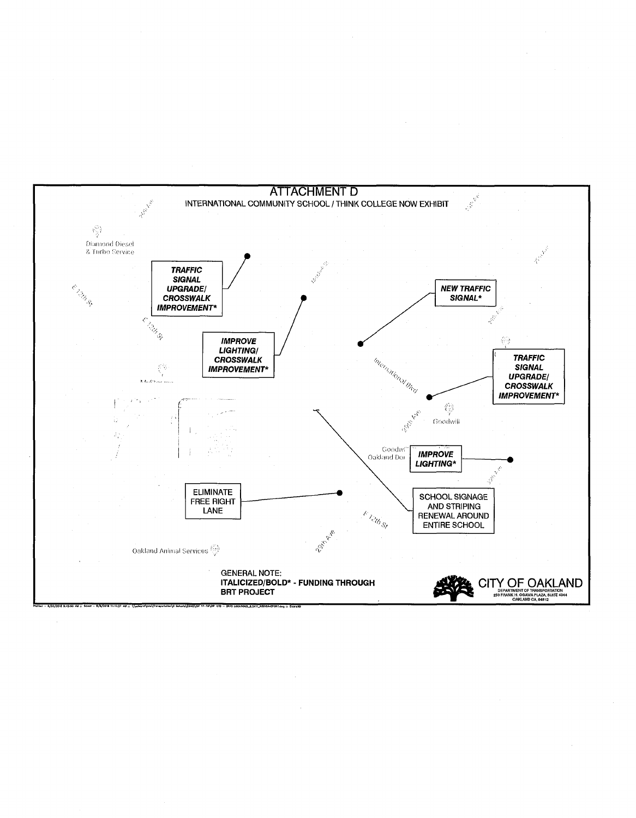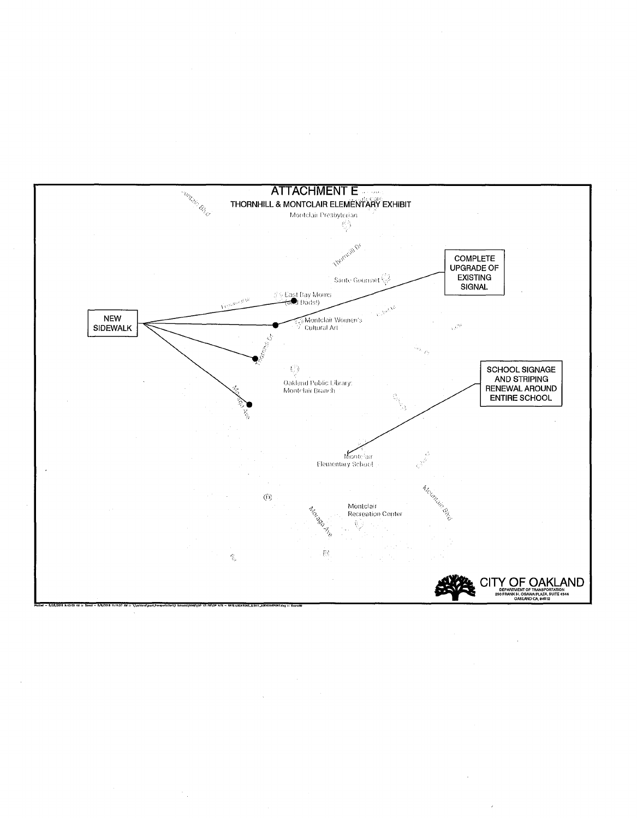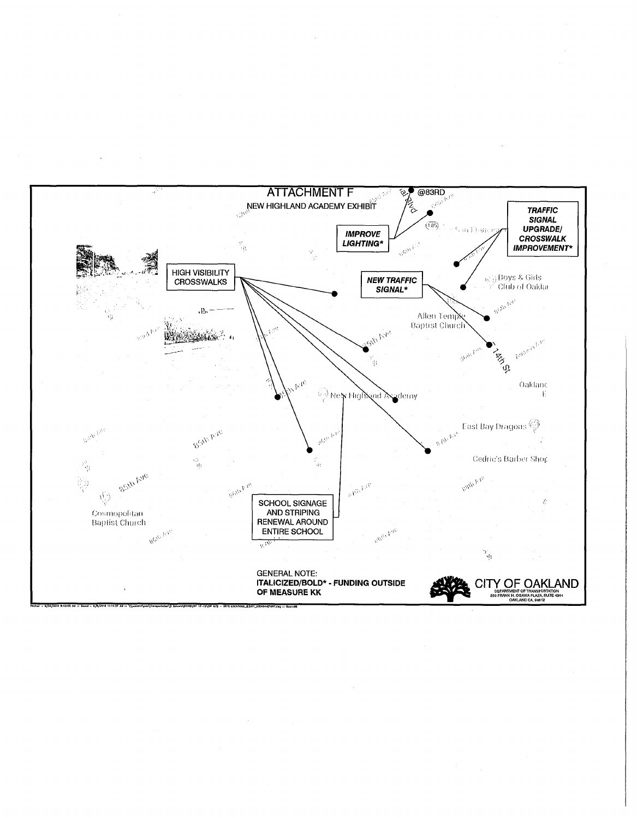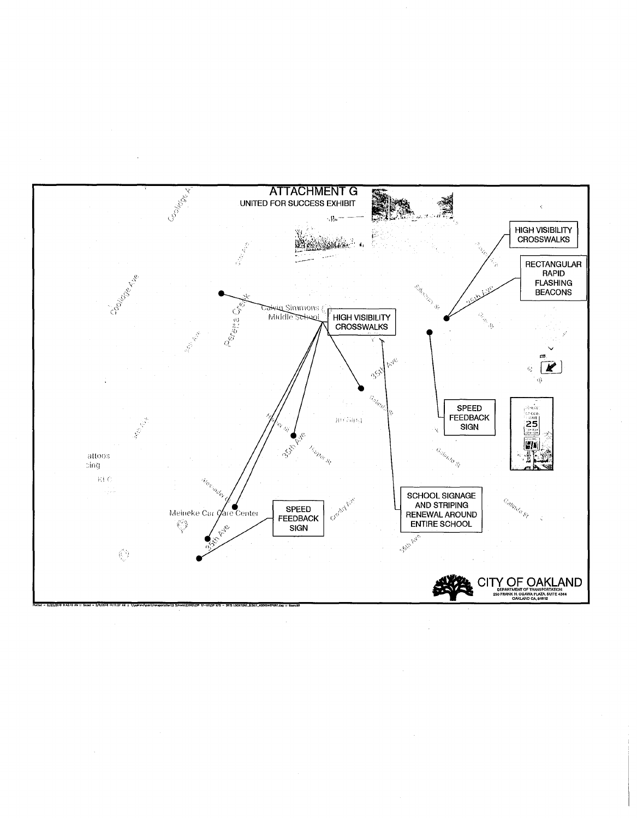

 $\bar{\mathcal{A}}$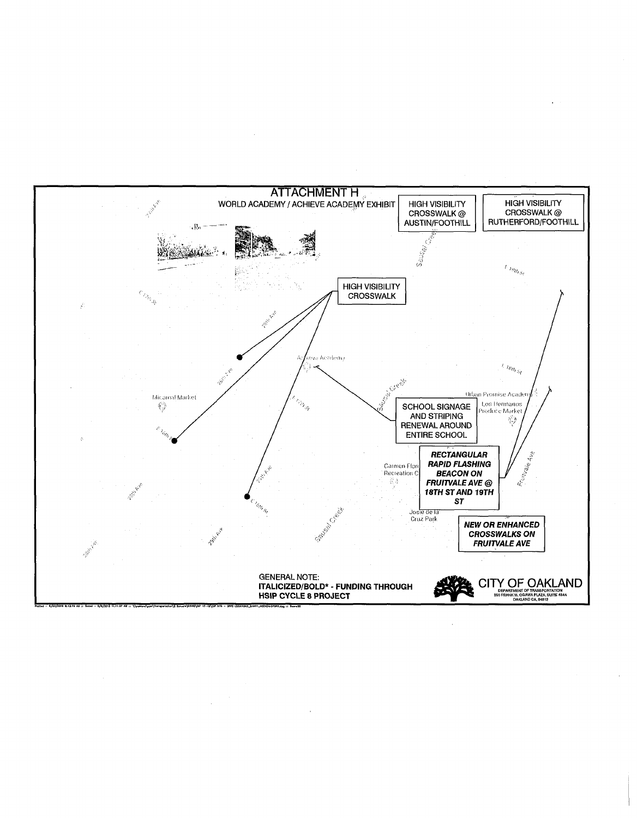